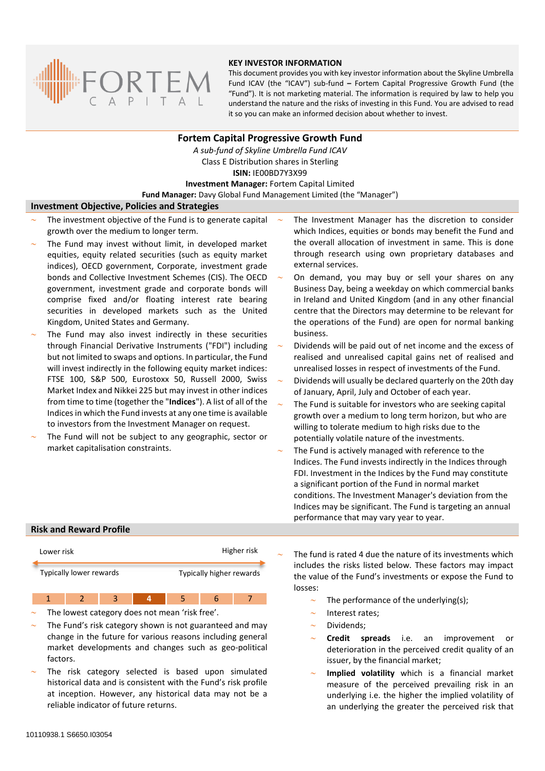

#### **KEY INVESTOR INFORMATION**

This document provides you with key investor information about the Skyline Umbrella Fund ICAV (the "ICAV") sub-fund **–** Fortem Capital Progressive Growth Fund (the "Fund"). It is not marketing material. The information is required by law to help you understand the nature and the risks of investing in this Fund. You are advised to read it so you can make an informed decision about whether to invest.

# **Fortem Capital Progressive Growth Fund**

*A sub-fund of Skyline Umbrella Fund ICAV* Class E Distribution shares in Sterling **ISIN:** IE00BD7Y3X99 **Investment Manager:** Fortem Capital Limited

**Fund Manager:** Davy Global Fund Management Limited (the "Manager")

### **Investment Objective, Policies and Strategies**

- The investment objective of the Fund is to generate capital growth over the medium to longer term.
- The Fund may invest without limit, in developed market equities, equity related securities (such as equity market indices), OECD government, Corporate, investment grade bonds and Collective Investment Schemes (CIS). The OECD government, investment grade and corporate bonds will comprise fixed and/or floating interest rate bearing securities in developed markets such as the United Kingdom, United States and Germany.
- The Fund may also invest indirectly in these securities through Financial Derivative Instruments ("FDI") including but not limited to swaps and options. In particular, the Fund will invest indirectly in the following equity market indices: FTSE 100, S&P 500, Eurostoxx 50, Russell 2000, Swiss Market Index and Nikkei 225 but may invest in other indices from time to time (together the "**Indices**"). A list of all of the Indices in which the Fund invests at any one time is available to investors from the Investment Manager on request.
- The Fund will not be subject to any geographic, sector or market capitalisation constraints.
- The Investment Manager has the discretion to consider which Indices, equities or bonds may benefit the Fund and the overall allocation of investment in same. This is done through research using own proprietary databases and external services.
- On demand, you may buy or sell your shares on any Business Day, being a weekday on which commercial banks in Ireland and United Kingdom (and in any other financial centre that the Directors may determine to be relevant for the operations of the Fund) are open for normal banking business.
- Dividends will be paid out of net income and the excess of realised and unrealised capital gains net of realised and unrealised losses in respect of investments of the Fund.
- Dividends will usually be declared quarterly on the 20th day of January, April, July and October of each year.
- The Fund is suitable for investors who are seeking capital growth over a medium to long term horizon, but who are willing to tolerate medium to high risks due to the potentially volatile nature of the investments.
- The Fund is actively managed with reference to the Indices. The Fund invests indirectly in the Indices through FDI. Investment in the Indices by the Fund may constitute a significant portion of the Fund in normal market conditions. The Investment Manager's deviation from the Indices may be significant. The Fund is targeting an annual performance that may vary year to year.

## **Risk and Reward Profile**

| Lower risk              | Higher risk              |
|-------------------------|--------------------------|
| Typically lower rewards | Typically higher rewards |

1 2 3 **4** 5 6 7

- The lowest category does not mean 'risk free'.
- The Fund's risk category shown is not guaranteed and may change in the future for various reasons including general market developments and changes such as geo-political factors.
- The risk category selected is based upon simulated historical data and is consistent with the Fund's risk profile at inception. However, any historical data may not be a reliable indicator of future returns.

 The fund is rated 4 due the nature of its investments which includes the risks listed below. These factors may impact the value of the Fund's investments or expose the Fund to losses:

- The performance of the underlying(s);
- Interest rates;
- Dividends;
- **Credit spreads** i.e. an improvement or deterioration in the perceived credit quality of an issuer, by the financial market;
- **Implied volatility** which is a financial market measure of the perceived prevailing risk in an underlying i.e. the higher the implied volatility of an underlying the greater the perceived risk that